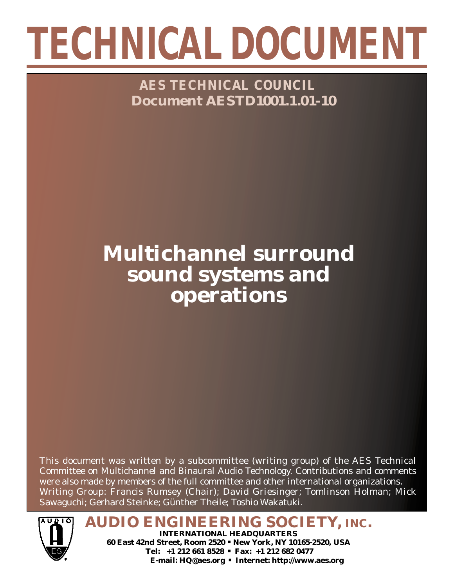# **TECHNICAL DOCUMENT**

**AES TECHNICAL COUNCIL Document AESTD1001.1.01-10**

# **Multichannel surround sound systems and operations**

This document was written by a subcommittee (writing group) of the AES Technical Committee on Multichannel and Binaural Audio Technology. Contributions and comments were also made by members of the full committee and other international organizations. Writing Group: Francis Rumsey (Chair); David Griesinger; Tomlinson Holman; Mick Sawaguchi; Gerhard Steinke; Günther Theile; Toshio Wakatuki.



**AUDIO ENGINEERING SOCIETY, INC. INTERNATIONAL HEADQUARTERS 60 East 42nd Street, Room 2520 . New York, NY 10165-2520, USA Tel: +1 212 661 8528 . Fax: +1 212 682 0477**

**E-mail: HQ@aes.org . Internet: http://www.aes.org**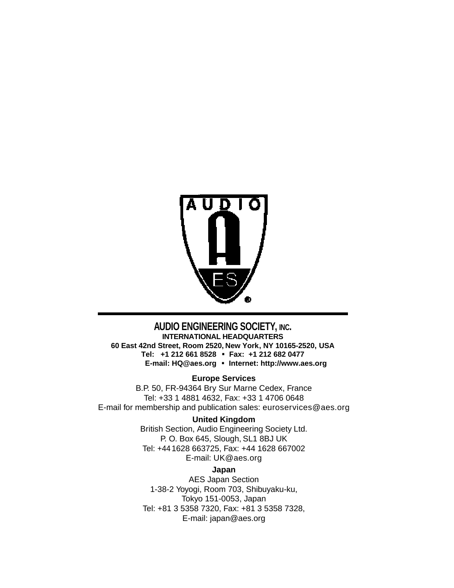

#### **AUDIO ENGINEERING SOCIETY, INC.**

**INTERNATIONAL HEADQUARTERS 60 East 42nd Street, Room 2520, New York, NY 10165-2520, USA Tel: +1 212 661 8528 . Fax: +1 212 682 0477 E-mail: HQ@aes.org . Internet: http://www.aes.org**

#### **Europe Services**

B.P. 50, FR-94364 Bry Sur Marne Cedex, France Tel: +33 1 4881 4632, Fax: +33 1 4706 0648 E-mail for membership and publication sales: euroservices@aes.org

#### **United Kingdom**

British Section, Audio Engineering Society Ltd. P. O. Box 645, Slough, SL1 8BJ UK Tel: +44 1628 663725, Fax: +44 1628 667002 E-mail: UK@aes.org

#### **Japan**

AES Japan Section 1-38-2 Yoyogi, Room 703, Shibuyaku-ku, Tokyo 151-0053, Japan Tel: +81 3 5358 7320, Fax: +81 3 5358 7328, E-mail: japan@aes.org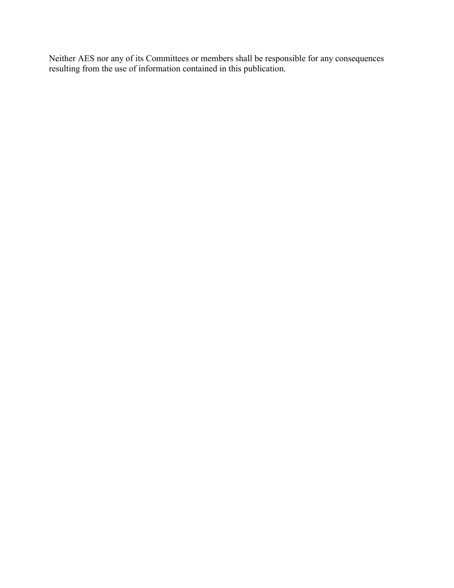Neither AES nor any of its Committees or members shall be responsible for any consequences resulting from the use of information contained in this publication.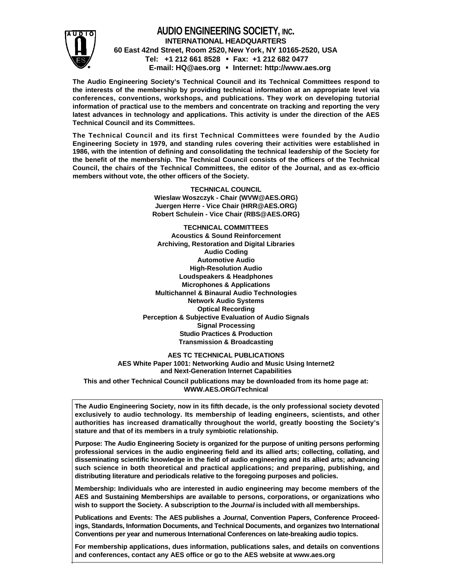

#### **AUDIO ENGINEERING SOCIETY, INC. INTERNATIONAL HEADQUARTERS 60 East 42nd Street, Room 2520, New York, NY 10165-2520, USA Tel: +1 212 661 8528 . Fax: +1 212 682 0477 E-mail: HQ@aes.org . Internet: http://www.aes.org**

**The Audio Engineering Society's Technical Council and its Technical Committees respond to the interests of the membership by providing technical information at an appropriate level via conferences, conventions, workshops, and publications. They work on developing tutorial information of practical use to the members and concentrate on tracking and reporting the very latest advances in technology and applications. This activity is under the direction of the AES Technical Council and its Committees.** 

**The Technical Council and its first Technical Committees were founded by the Audio Engineering Society in 1979, and standing rules covering their activities were established in 1986, with the intention of defining and consolidating the technical leadership of the Society for the benefit of the membership. The Technical Council consists of the officers of the Technical Council, the chairs of the Technical Committees, the editor of the Journal, and as ex-officio members without vote, the other officers of the Society.**

> **TECHNICAL COUNCIL Wieslaw Woszczyk - Chair (WVW@AES.ORG) Juergen Herre - Vice Chair (HRR@AES.ORG) Robert Schulein - Vice Chair (RBS@AES.ORG)**

**TECHNICAL COMMITTEES Acoustics & Sound Reinforcement Archiving, Restoration and Digital Libraries Audio Coding Automotive Audio High-Resolution Audio Loudspeakers & Headphones Microphones & Applications Multichannel & Binaural Audio Technologies Network Audio Systems Optical Recording Perception & Subjective Evaluation of Audio Signals Signal Processing Studio Practices & Production Transmission & Broadcasting**

**AES TC TECHNICAL PUBLICATIONS AES White Paper 1001: Networking Audio and Music Using Internet2 and Next-Generation Internet Capabilities** 

**This and other Technical Council publications may be downloaded from its home page at: WWW.AES.ORG/Technical**

**The Audio Engineering Society, now in its fifth decade, is the only professional society devoted exclusively to audio technology. Its membership of leading engineers, scientists, and other authorities has increased dramatically throughout the world, greatly boosting the Society's stature and that of its members in a truly symbiotic relationship.** 

**Purpose: The Audio Engineering Society is organized for the purpose of uniting persons performing professional services in the audio engineering field and its allied arts; collecting, collating, and disseminating scientific knowledge in the field of audio engineering and its allied arts; advancing such science in both theoretical and practical applications; and preparing, publishing, and distributing literature and periodicals relative to the foregoing purposes and policies.**

**Membership: Individuals who are interested in audio engineering may become members of the AES and Sustaining Memberships are available to persons, corporations, or organizations who wish to support the Society. A subscription to the Journal is included with all memberships.** 

**Publications and Events: The AES publishes a Journal, Convention Papers, Conference Proceedings, Standards, Information Documents, and Technical Documents, and organizes two International Conventions per year and numerous International Conferences on late-breaking audio topics.**

**For membership applications, dues information, publications sales, and details on conventions and conferences, contact any AES office or go to the AES website at www.aes.org**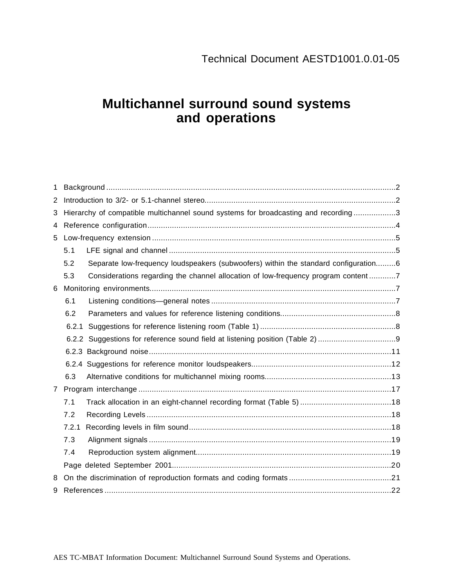## **Multichannel surround sound systems and operations**

| 1              |       |                                                                                     |  |
|----------------|-------|-------------------------------------------------------------------------------------|--|
| 2              |       |                                                                                     |  |
| 3              |       | Hierarchy of compatible multichannel sound systems for broadcasting and recording3  |  |
| 4              |       |                                                                                     |  |
| 5              |       |                                                                                     |  |
|                | 5.1   |                                                                                     |  |
|                | 5.2   | Separate low-frequency loudspeakers (subwoofers) within the standard configuration6 |  |
|                | 5.3   | Considerations regarding the channel allocation of low-frequency program content7   |  |
| 6              |       |                                                                                     |  |
|                | 6.1   |                                                                                     |  |
|                | 6.2   |                                                                                     |  |
|                | 6.2.1 |                                                                                     |  |
|                |       | 6.2.2 Suggestions for reference sound field at listening position (Table 2)         |  |
|                |       |                                                                                     |  |
|                |       |                                                                                     |  |
|                | 6.3   |                                                                                     |  |
| $\overline{7}$ |       |                                                                                     |  |
|                | 7.1   |                                                                                     |  |
|                | 7.2   |                                                                                     |  |
|                | 7.2.1 |                                                                                     |  |
|                | 7.3   |                                                                                     |  |
|                | 7.4   |                                                                                     |  |
|                |       |                                                                                     |  |
| 8              |       |                                                                                     |  |
| 9              |       |                                                                                     |  |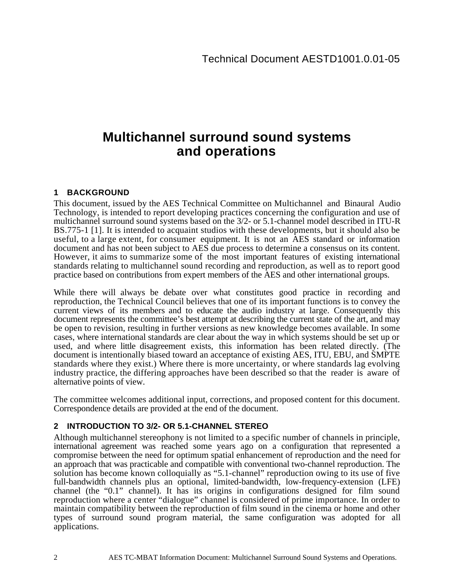### **Multichannel surround sound systems and operations**

#### **1 BACKGROUND**

This document, issued by the AES Technical Committee on Multichannel and Binaural Audio Technology, is intended to report developing practices concerning the configuration and use of multichannel surround sound systems based on the 3/2- or 5.1-channel model described in ITU-R BS.775-1 [1]. It is intended to acquaint studios with these developments, but it should also be useful, to a large extent, for consumer equipment. It is not an AES standard or information document and has not been subject to AES due process to determine a consensus on its content. However, it aims to summarize some of the most important features of existing international standards relating to multichannel sound recording and reproduction, as well as to report good practice based on contributions from expert members of the AES and other international groups.

While there will always be debate over what constitutes good practice in recording and reproduction, the Technical Council believes that one of its important functions is to convey the current views of its members and to educate the audio industry at large. Consequently this document represents the committee's best attempt at describing the current state of the art, and may be open to revision, resulting in further versions as new knowledge becomes available. In some cases, where international standards are clear about the way in which systems should be set up or used, and where little disagreement exists, this information has been related directly. (The document is intentionally biased toward an acceptance of existing AES, ITU, EBU, and SMPTE standards where they exist.) Where there is more uncertainty, or where standards lag evolving industry practice, the differing approaches have been described so that the reader is aware of alternative points of view.

The committee welcomes additional input, corrections, and proposed content for this document. Correspondence details are provided at the end of the document.

#### **2 INTRODUCTION TO 3/2- OR 5.1-CHANNEL STEREO**

Although multichannel stereophony is not limited to a specific number of channels in principle, international agreement was reached some years ago on a configuration that represented a compromise between the need for optimum spatial enhancement of reproduction and the need for an approach that was practicable and compatible with conventional two-channel reproduction. The solution has become known colloquially as "5.1-channel" reproduction owing to its use of five full-bandwidth channels plus an optional, limited-bandwidth, low-frequency-extension (LFE) channel (the "0.1" channel). It has its origins in configurations designed for film sound reproduction where a center "dialogue" channel is considered of prime importance. In order to maintain compatibility between the reproduction of film sound in the cinema or home and other types of surround sound program material, the same configuration was adopted for all applications.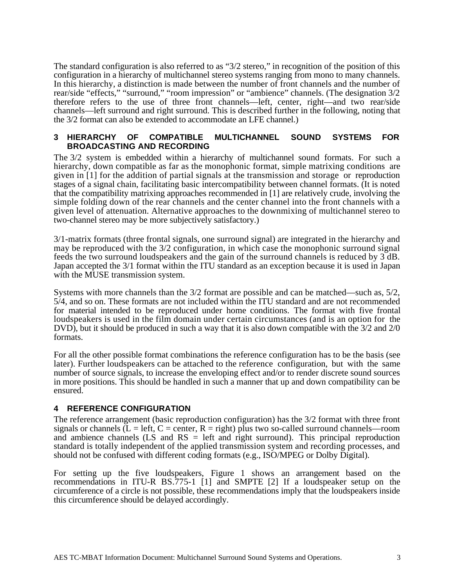The standard configuration is also referred to as "3/2 stereo," in recognition of the position of this configuration in a hierarchy of multichannel stereo systems ranging from mono to many channels. In this hierarchy, a distinction is made between the number of front channels and the number of rear/side "effects," "surround," "room impression" or "ambience" channels. (The designation 3/2 therefore refers to the use of three front channels—left, center, right—and two rear/side channels—left surround and right surround. This is described further in the following, noting that the 3/2 format can also be extended to accommodate an LFE channel.)

#### **3 HIERARCHY OF COMPATIBLE MULTICHANNEL SOUND SYSTEMS FOR BROADCASTING AND RECORDING**

The 3/2 system is embedded within a hierarchy of multichannel sound formats. For such a hierarchy, down compatible as far as the monophonic format, simple matrixing conditions are given in [1] for the addition of partial signals at the transmission and storage or reproduction stages of a signal chain, facilitating basic intercompatibility between channel formats. (It is noted that the compatibility matrixing approaches recommended in [1] are relatively crude, involving the simple folding down of the rear channels and the center channel into the front channels with a given level of attenuation. Alternative approaches to the downmixing of multichannel stereo to two-channel stereo may be more subjectively satisfactory.)

3/1-matrix formats (three frontal signals, one surround signal) are integrated in the hierarchy and may be reproduced with the 3/2 configuration, in which case the monophonic surround signal feeds the two surround loudspeakers and the gain of the surround channels is reduced by 3 dB. Japan accepted the 3/1 format within the ITU standard as an exception because it is used in Japan with the MUSE transmission system.

Systems with more channels than the 3/2 format are possible and can be matched—such as, 5/2, 5/4, and so on. These formats are not included within the ITU standard and are not recommended for material intended to be reproduced under home conditions. The format with five frontal loudspeakers is used in the film domain under certain circumstances (and is an option for the DVD), but it should be produced in such a way that it is also down compatible with the  $3/2$  and  $2/0$ formats.

For all the other possible format combinations the reference configuration has to be the basis (see later). Further loudspeakers can be attached to the reference configuration, but with the same number of source signals, to increase the enveloping effect and/or to render discrete sound sources in more positions. This should be handled in such a manner that up and down compatibility can be ensured.

#### **4 REFERENCE CONFIGURATION**

The reference arrangement (basic reproduction configuration) has the 3/2 format with three front signals or channels  $(L = left, C = center, R = right)$  plus two so-called surround channels—room and ambience channels (LS and RS = left and right surround). This principal reproduction standard is totally independent of the applied transmission system and recording processes, and should not be confused with different coding formats (e.g., ISO/MPEG or Dolby Digital).

For setting up the five loudspeakers, Figure 1 shows an arrangement based on the recommendations in ITU-R BS.775-1 [1] and SMPTE [2] If a loudspeaker setup on the circumference of a circle is not possible, these recommendations imply that the loudspeakers inside this circumference should be delayed accordingly.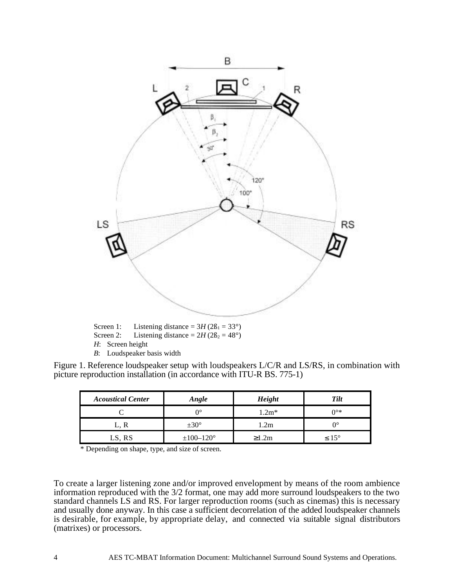

Screen 2: Listening distance =  $2H(2B_2 = 48^\circ)$ *H*: Screen height *B*: Loudspeaker basis width

Figure 1. Reference loudspeaker setup with loudspeakers L/C/R and LS/RS, in combination with picture reproduction installation (in accordance with ITU-R BS. 775-1)

| <b>Acoustical Center</b> | Angle            | Height  | Tilt              |
|--------------------------|------------------|---------|-------------------|
|                          | ∩∘               | $1.2m*$ | ∩∘∗               |
| L, R                     | $\pm 30^{\circ}$ | l.2m    | nc                |
| LS, RS                   | $±100-120°$      | ≥1.2m   | $\leq 15^{\circ}$ |

\* Depending on shape, type, and size of screen.

To create a larger listening zone and/or improved envelopment by means of the room ambience information reproduced with the 3/2 format, one may add more surround loudspeakers to the two standard channels LS and RS. For larger reproduction rooms (such as cinemas) this is necessary and usually done anyway. In this case a sufficient decorrelation of the added loudspeaker channels is desirable, for example, by appropriate delay, and connected via suitable signal distributors (matrixes) or processors.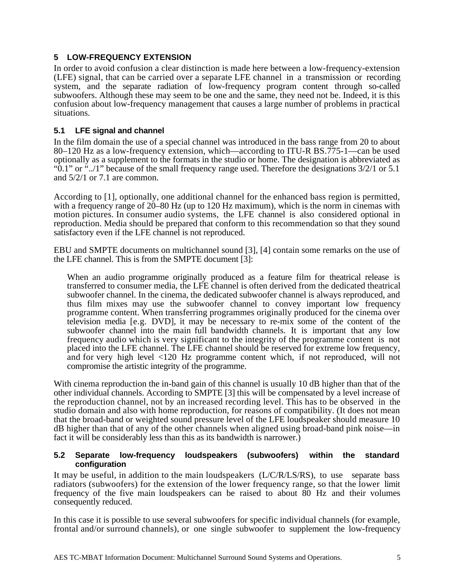#### **5 LOW-FREQUENCY EXTENSION**

In order to avoid confusion a clear distinction is made here between a low-frequency-extension (LFE) signal, that can be carried over a separate LFE channel in a transmission or recording system, and the separate radiation of low-frequency program content through so-called subwoofers. Although these may seem to be one and the same, they need not be. Indeed, it is this confusion about low-frequency management that causes a large number of problems in practical situations.

#### **5.1 LFE signal and channel**

In the film domain the use of a special channel was introduced in the bass range from 20 to about 80–120 Hz as a low-frequency extension, which—according to ITU-R BS.775-1—can be used optionally as a supplement to the formats in the studio or home. The designation is abbreviated as " $\ddot{0}$ .1" or ".../1" because of the small frequency range used. Therefore the designations 3/2/1 or 5.1 and 5/2/1 or 7.1 are common.

According to [1], optionally, one additional channel for the enhanced bass region is permitted, with a frequency range of 20–80 Hz (up to 120 Hz maximum), which is the norm in cinemas with motion pictures. In consumer audio systems, the LFE channel is also considered optional in reproduction. Media should be prepared that conform to this recommendation so that they sound satisfactory even if the LFE channel is not reproduced.

EBU and SMPTE documents on multichannel sound [3], [4] contain some remarks on the use of the LFE channel. This is from the SMPTE document [3]:

When an audio programme originally produced as a feature film for theatrical release is transferred to consumer media, the LFE channel is often derived from the dedicated theatrical subwoofer channel. In the cinema, the dedicated subwoofer channel is always reproduced, and thus film mixes may use the subwoofer channel to convey important low frequency programme content. When transferring programmes originally produced for the cinema over television media [e.g. DVD], it may be necessary to re-mix some of the content of the subwoofer channel into the main full bandwidth channels. It is important that any low frequency audio which is very significant to the integrity of the programme content is not placed into the LFE channel. The LFE channel should be reserved for extreme low frequency, and for very high level <120 Hz programme content which, if not reproduced, will not compromise the artistic integrity of the programme.

With cinema reproduction the in-band gain of this channel is usually 10 dB higher than that of the other individual channels. According to SMPTE [3] this will be compensated by a level increase of the reproduction channel, not by an increased recording level. This has to be observed in the studio domain and also with home reproduction, for reasons of compatibility. (It does not mean that the broad-band or weighted sound pressure level of the LFE loudspeaker should measure 10 dB higher than that of any of the other channels when aligned using broad-band pink noise—in fact it will be considerably less than this as its bandwidth is narrower.)

#### **5.2 Separate low-frequency loudspeakers (subwoofers) within the standard configuration**

It may be useful, in addition to the main loudspeakers (L/C/R/LS/RS), to use separate bass radiators (subwoofers) for the extension of the lower frequency range, so that the lower limit frequency of the five main loudspeakers can be raised to about 80 Hz and their volumes consequently reduced.

In this case it is possible to use several subwoofers for specific individual channels (for example, frontal and/or surround channels), or one single subwoofer to supplement the low-frequency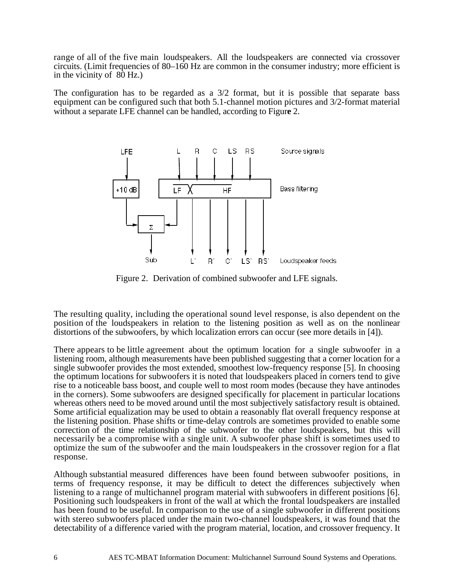range of all of the five main loudspeakers. All the loudspeakers are connected via crossover circuits. (Limit frequencies of 80–160 Hz are common in the consumer industry; more efficient is in the vicinity of 80 Hz.)

The configuration has to be regarded as a 3/2 format, but it is possible that separate bass equipment can be configured such that both 5.1-channel motion pictures and 3/2-format material without a separate LFE channel can be handled, according to Figur**e** 2.



Figure 2. Derivation of combined subwoofer and LFE signals.

The resulting quality, including the operational sound level response, is also dependent on the position of the loudspeakers in relation to the listening position as well as on the nonlinear distortions of the subwoofers, by which localization errors can occur (see more details in [4]).

There appears to be little agreement about the optimum location for a single subwoofer in a listening room, although measurements have been published suggesting that a corner location for a single subwoofer provides the most extended, smoothest low-frequency response [5]. In choosing the optimum locations for subwoofers it is noted that loudspeakers placed in corners tend to give rise to a noticeable bass boost, and couple well to most room modes (because they have antinodes in the corners). Some subwoofers are designed specifically for placement in particular locations whereas others need to be moved around until the most subjectively satisfactory result is obtained. Some artificial equalization may be used to obtain a reasonably flat overall frequency response at the listening position. Phase shifts or time-delay controls are sometimes provided to enable some correction of the time relationship of the subwoofer to the other loudspeakers, but this will necessarily be a compromise with a single unit. A subwoofer phase shift is sometimes used to optimize the sum of the subwoofer and the main loudspeakers in the crossover region for a flat response.

Although substantial measured differences have been found between subwoofer positions, in terms of frequency response, it may be difficult to detect the differences subjectively when listening to a range of multichannel program material with subwoofers in different positions [6]. Positioning such loudspeakers in front of the wall at which the frontal loudspeakers are installed has been found to be useful. In comparison to the use of a single subwoofer in different positions with stereo subwoofers placed under the main two-channel loudspeakers, it was found that the detectability of a difference varied with the program material, location, and crossover frequency. It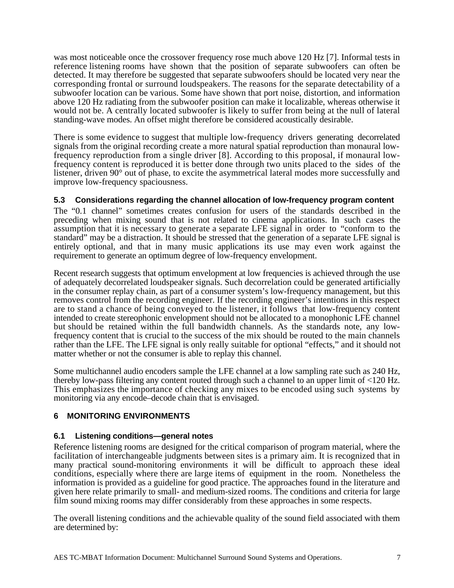was most noticeable once the crossover frequency rose much above 120 Hz [7]. Informal tests in reference listening rooms have shown that the position of separate subwoofers can often be detected. It may therefore be suggested that separate subwoofers should be located very near the corresponding frontal or surround loudspeakers. The reasons for the separate detectability of a subwoofer location can be various. Some have shown that port noise, distortion, and information above 120 Hz radiating from the subwoofer position can make it localizable, whereas otherwise it would not be. A centrally located subwoofer is likely to suffer from being at the null of lateral standing-wave modes. An offset might therefore be considered acoustically desirable.

There is some evidence to suggest that multiple low-frequency drivers generating decorrelated signals from the original recording create a more natural spatial reproduction than monaural lowfrequency reproduction from a single driver [8]. According to this proposal, if monaural lowfrequency content is reproduced it is better done through two units placed to the sides of the listener, driven 90° out of phase, to excite the asymmetrical lateral modes more successfully and improve low-frequency spaciousness.

#### **5.3 Considerations regarding the channel allocation of low-frequency program content**

The "0.1 channel" sometimes creates confusion for users of the standards described in the preceding when mixing sound that is not related to cinema applications. In such cases the assumption that it is necessary to generate a separate LFE signal in order to "conform to the standard" may be a distraction. It should be stressed that the generation of a separate LFE signal is entirely optional, and that in many music applications its use may even work against the requirement to generate an optimum degree of low-frequency envelopment.

Recent research suggests that optimum envelopment at low frequencies is achieved through the use of adequately decorrelated loudspeaker signals. Such decorrelation could be generated artificially in the consumer replay chain, as part of a consumer system's low-frequency management, but this removes control from the recording engineer. If the recording engineer's intentions in this respect are to stand a chance of being conveyed to the listener, it follows that low-frequency content intended to create stereophonic envelopment should not be allocated to a monophonic LFE channel but should be retained within the full bandwidth channels. As the standards note, any lowfrequency content that is crucial to the success of the mix should be routed to the main channels rather than the LFE. The LFE signal is only really suitable for optional "effects," and it should not matter whether or not the consumer is able to replay this channel.

Some multichannel audio encoders sample the LFE channel at a low sampling rate such as 240 Hz, thereby low-pass filtering any content routed through such a channel to an upper limit of <120 Hz. This emphasizes the importance of checking any mixes to be encoded using such systems by monitoring via any encode–decode chain that is envisaged.

#### **6 MONITORING ENVIRONMENTS**

#### **6.1 Listening conditions—general notes**

Reference listening rooms are designed for the critical comparison of program material, where the facilitation of interchangeable judgments between sites is a primary aim. It is recognized that in many practical sound-monitoring environments it will be difficult to approach these ideal conditions, especially where there are large items of equipment in the room. Nonetheless the information is provided as a guideline for good practice. The approaches found in the literature and given here relate primarily to small- and medium-sized rooms. The conditions and criteria for large film sound mixing rooms may differ considerably from these approaches in some respects.

The overall listening conditions and the achievable quality of the sound field associated with them are determined by: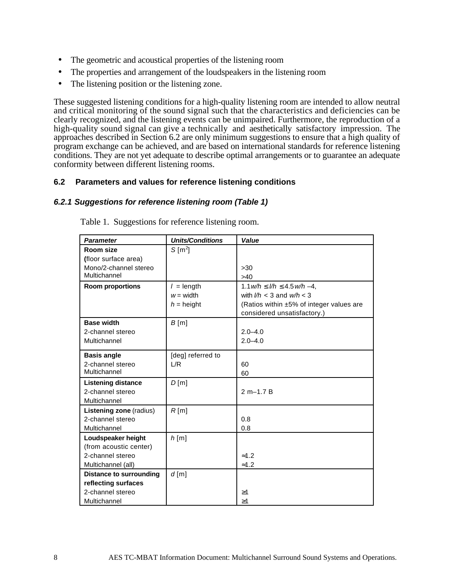- The geometric and acoustical properties of the listening room
- The properties and arrangement of the loudspeakers in the listening room
- The listening position or the listening zone.

These suggested listening conditions for a high-quality listening room are intended to allow neutral and critical monitoring of the sound signal such that the characteristics and deficiencies can be clearly recognized, and the listening events can be unimpaired. Furthermore, the reproduction of a high-quality sound signal can give a technically and aesthetically satisfactory impression. The approaches described in Section 6.2 are only minimum suggestions to ensure that a high quality of program exchange can be achieved, and are based on international standards for reference listening conditions. They are not yet adequate to describe optimal arrangements or to guarantee an adequate conformity between different listening rooms.

#### **6.2 Parameters and values for reference listening conditions**

#### **6.2.1 Suggestions for reference listening room (Table 1)**

| <b>Parameter</b>               | <b>Units/Conditions</b> | Value                                    |
|--------------------------------|-------------------------|------------------------------------------|
| Room size                      | $S$ [m <sup>2</sup> ]   |                                          |
| (floor surface area)           |                         |                                          |
| Mono/2-channel stereo          |                         | >30                                      |
| Multichannel                   |                         | >40                                      |
| <b>Room proportions</b>        | $l =$ length            | $1.1 w/h \leq l/h \leq 4.5 w/h - 4$ ,    |
|                                | $w = width$             | with $l/h < 3$ and $w/h < 3$             |
|                                | $h =$ height            | (Ratios within ±5% of integer values are |
|                                |                         | considered unsatisfactory.)              |
| <b>Base width</b>              | $B$ [m]                 |                                          |
| 2-channel stereo               |                         | $2.0 - 4.0$                              |
| Multichannel                   |                         | $2.0 - 4.0$                              |
| <b>Basis angle</b>             | [deg] referred to       |                                          |
| 2-channel stereo               | L/R                     | 60                                       |
| Multichannel                   |                         | 60                                       |
| <b>Listening distance</b>      | D[m]                    |                                          |
| 2-channel stereo               |                         | $2 m - 1.7 B$                            |
| Multichannel                   |                         |                                          |
| <b>Listening zone (radius)</b> | R[m]                    |                                          |
| 2-channel stereo               |                         | 0.8                                      |
| Multichannel                   |                         | 0.8                                      |
| Loudspeaker height             | $h$ [m]                 |                                          |
| (from acoustic center)         |                         |                                          |
| 2-channel stereo               |                         | $\approx 1.2$                            |
| Multichannel (all)             |                         | $\approx 1.2$                            |
| Distance to surrounding        | $d$ [m]                 |                                          |
| reflecting surfaces            |                         |                                          |
| 2-channel stereo               |                         | $\geq$ 1                                 |
| Multichannel                   |                         | $\geq$ 1                                 |

Table 1. Suggestions for reference listening room.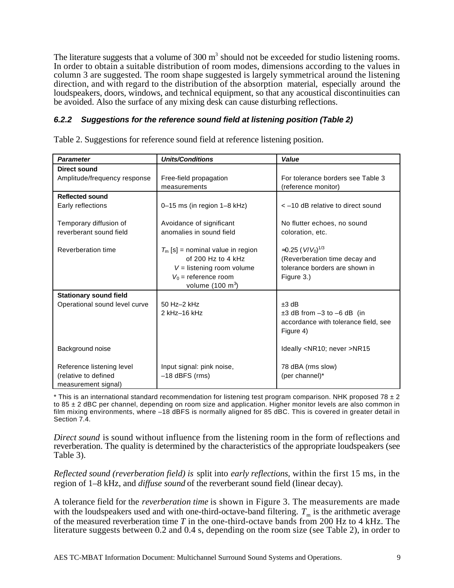The literature suggests that a volume of  $300 \text{ m}^3$  should not be exceeded for studio listening rooms. In order to obtain a suitable distribution of room modes, dimensions according to the values in column 3 are suggested. The room shape suggested is largely symmetrical around the listening direction, and with regard to the distribution of the absorption material, especially around the loudspeakers, doors, windows, and technical equipment, so that any acoustical discontinuities can be avoided. Also the surface of any mixing desk can cause disturbing reflections.

#### **6.2.2 Suggestions for the reference sound field at listening position (Table 2)**

| <b>Parameter</b>              | <b>Units/Conditions</b>             | Value                                |
|-------------------------------|-------------------------------------|--------------------------------------|
| Direct sound                  |                                     |                                      |
| Amplitude/frequency response  | Free-field propagation              | For tolerance borders see Table 3    |
|                               | measurements                        | (reference monitor)                  |
| <b>Reflected sound</b>        |                                     |                                      |
| Early reflections             | $0-15$ ms (in region $1-8$ kHz)     | < -10 dB relative to direct sound    |
|                               |                                     |                                      |
| Temporary diffusion of        | Avoidance of significant            | No flutter echoes, no sound          |
| reverberant sound field       | anomalies in sound field            | coloration, etc.                     |
|                               |                                     |                                      |
| Reverberation time            | $T_m$ [s] = nominal value in region | ≈0.25 ( $V/V_0$ ) <sup>1/3</sup>     |
|                               | of 200 Hz to 4 kHz                  | (Reverberation time decay and        |
|                               | $V =$ listening room volume         | tolerance borders are shown in       |
|                               | $V_0$ = reference room              | Figure 3.)                           |
|                               | volume $(100 \text{ m}^3)$          |                                      |
| <b>Stationary sound field</b> |                                     |                                      |
| Operational sound level curve | 50 Hz-2 kHz                         | $±3$ dB                              |
|                               | 2 kHz-16 kHz                        | $\pm 3$ dB from $-3$ to $-6$ dB (in  |
|                               |                                     | accordance with tolerance field, see |
|                               |                                     | Figure 4)                            |
|                               |                                     |                                      |
| Background noise              |                                     | Ideally <nr10; never="">NR15</nr10;> |
|                               |                                     |                                      |
| Reference listening level     | Input signal: pink noise,           | 78 dBA (rms slow)                    |
| (relative to defined          | $-18$ dBFS (rms)                    | (per channel)*                       |
| measurement signal)           |                                     |                                      |

Table 2. Suggestions for reference sound field at reference listening position.

\* This is an international standard recommendation for listening test program comparison. NHK proposed 78  $\pm$  2 to 85 ± 2 dBC per channel, depending on room size and application. Higher monitor levels are also common in film mixing environments, where -18 dBFS is normally aligned for 85 dBC. This is covered in greater detail in Section 7.4.

*Direct sound* is sound without influence from the listening room in the form of reflections and reverberation. The quality is determined by the characteristics of the appropriate loudspeakers (see Table 3).

*Reflected sound (reverberation field) is* split into *early reflections,* within the first 15 ms, in the region of 1–8 kHz, and *diffuse sound* of the reverberant sound field (linear decay).

A tolerance field for the *reverberation time* is shown in Figure 3. The measurements are made with the loudspeakers used and with one-third-octave-band filtering.  $T_{\text{m}}$  is the arithmetic average of the measured reverberation time *T* in the one-third-octave bands from 200 Hz to 4 kHz. The literature suggests between 0.2 and 0.4 s, depending on the room size (see Table 2), in order to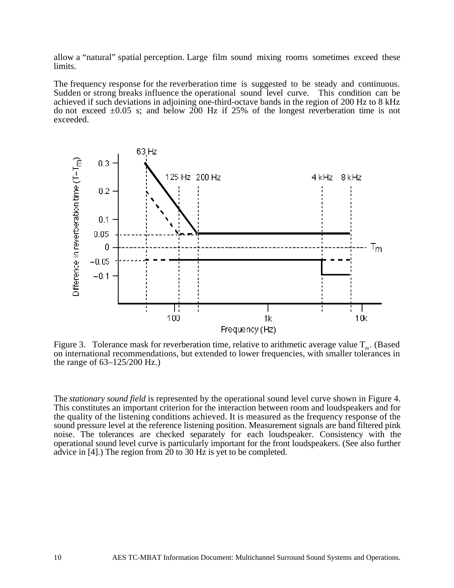allow a "natural" spatial perception. Large film sound mixing rooms sometimes exceed these limits.

The frequency response for the reverberation time is suggested to be steady and continuous. Sudden or strong breaks influence the operational sound level curve. This condition can be achieved if such deviations in adjoining one-third-octave bands in the region of 200 Hz to 8 kHz do not exceed  $\pm 0.05$  s; and below 200 Hz if 25% of the longest reverberation time is not exceeded.



Figure 3. Tolerance mask for reverberation time, relative to arithmetic average value  $T_m$ . (Based on international recommendations, but extended to lower frequencies, with smaller tolerances in the range of 63–125/200 Hz.)

The *stationary sound field* is represented by the operational sound level curve shown in Figure 4. This constitutes an important criterion for the interaction between room and loudspeakers and for the quality of the listening conditions achieved. It is measured as the frequency response of the sound pressure level at the reference listening position. Measurement signals are band filtered pink noise. The tolerances are checked separately for each loudspeaker. Consistency with the operational sound level curve is particularly important for the front loudspeakers. (See also further advice in [4].) The region from 20 to 30 Hz is yet to be completed.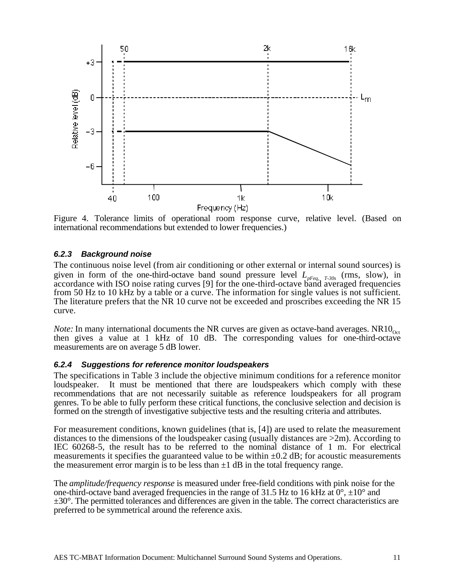

Figure 4. Tolerance limits of operational room response curve, relative level. (Based on international recommendations but extended to lower frequencies.)

#### **6.2.3 Background noise**

The continuous noise level (from air conditioning or other external or internal sound sources) is given in form of the one-third-octave band sound pressure level *LpFeq, T-30s* (rms, slow), in accordance with ISO noise rating curves [9] for the one-third-octave band averaged frequencies from 50 Hz to 10 kHz by a table or a curve. The information for single values is not sufficient. The literature prefers that the NR 10 curve not be exceeded and proscribes exceeding the NR 15 curve.

*Note:* In many international documents the NR curves are given as octave-band averages.  $NRIO<sub>Oct</sub>$ then gives a value at 1 kHz of 10 dB. The corresponding values for one-third-octave measurements are on average 5 dB lower.

#### **6.2.4 Suggestions for reference monitor loudspeakers**

The specifications in Table 3 include the objective minimum conditions for a reference monitor loudspeaker. It must be mentioned that there are loudspeakers which comply with these recommendations that are not necessarily suitable as reference loudspeakers for all program genres. To be able to fully perform these critical functions, the conclusive selection and decision is formed on the strength of investigative subjective tests and the resulting criteria and attributes.

For measurement conditions, known guidelines (that is, [4]) are used to relate the measurement distances to the dimensions of the loudspeaker casing (usually distances are  $>2m$ ). According to IEC 60268-5, the result has to be referred to the nominal distance of 1 m. For electrical measurements it specifies the guaranteed value to be within  $\pm 0.2$  dB; for acoustic measurements the measurement error margin is to be less than  $\pm 1$  dB in the total frequency range.

The *amplitude/frequency response* is measured under free-field conditions with pink noise for the one-third-octave band averaged frequencies in the range of 31.5 Hz to 16 kHz at  $0^{\circ}$ ,  $\pm 10^{\circ}$  and  $\pm 30^{\circ}$ . The permitted tolerances and differences are given in the table. The correct characteristics are preferred to be symmetrical around the reference axis.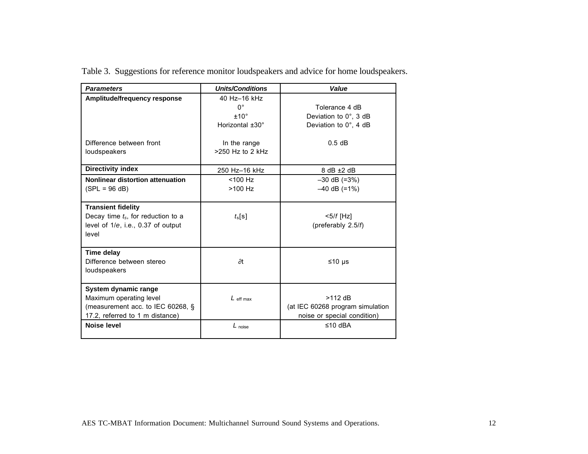| <b>Parameters</b>                                                                                                       | <b>Units/Conditions</b>                                                                    | Value                                                                        |
|-------------------------------------------------------------------------------------------------------------------------|--------------------------------------------------------------------------------------------|------------------------------------------------------------------------------|
| Amplitude/frequency response<br>Difference between front<br>loudspeakers                                                | 40 Hz-16 kHz<br>0°<br>±10°<br>Horizontal $±30^\circ$<br>In the range<br>$>250$ Hz to 2 kHz | Tolerance 4 dB<br>Deviation to 0°, 3 dB<br>Deviation to 0°, 4 dB<br>$0.5$ dB |
| <b>Directivity index</b>                                                                                                | 250 Hz-16 kHz                                                                              | $8$ dB $±2$ dB                                                               |
| Nonlinear distortion attenuation<br>$(SPL = 96 dB)$                                                                     | $<$ 100 Hz<br>$>100$ Hz                                                                    | $-30$ dB (=3%)<br>$-40$ dB (=1%)                                             |
| <b>Transient fidelity</b><br>Decay time $t_s$ , for reduction to a<br>level of 1/e, i.e., 0.37 of output<br>level       | $t_s[s]$                                                                                   | $5/f$ [Hz]<br>(preferably 2.5/f)                                             |
| <b>Time delay</b><br>Difference between stereo<br>loudspeakers                                                          | $\partial t$                                                                               | ≤10 $\mu$ s                                                                  |
| System dynamic range<br>Maximum operating level<br>(measurement acc. to IEC 60268, §<br>17.2, referred to 1 m distance) | $L_{\text{eff max}}$                                                                       | $>112$ dB<br>(at IEC 60268 program simulation<br>noise or special condition) |
| <b>Noise level</b>                                                                                                      | $L_{noise}$                                                                                | ≤10 dBA                                                                      |

Table 3. Suggestions for reference monitor loudspeakers and advice for home loudspeakers.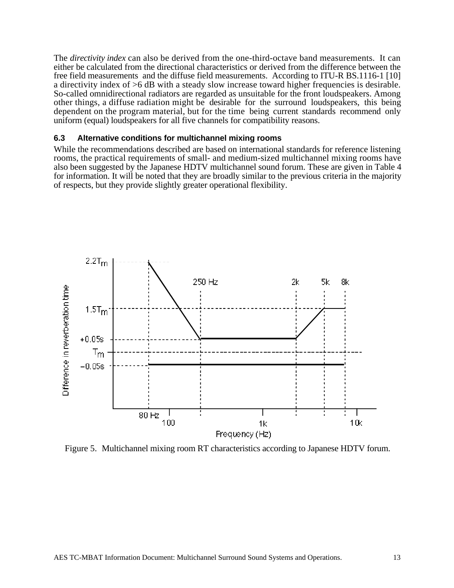The *directivity index* can also be derived from the one-third-octave band measurements. It can either be calculated from the directional characteristics or derived from the difference between the free field measurements and the diffuse field measurements. According to ITU-R BS.1116-1 [10] a directivity index of >6 dB with a steady slow increase toward higher frequencies is desirable. So-called omnidirectional radiators are regarded as unsuitable for the front loudspeakers. Among other things, a diffuse radiation might be desirable for the surround loudspeakers, this being dependent on the program material, but for the time being current standards recommend only uniform (equal) loudspeakers for all five channels for compatibility reasons.

#### **6.3 Alternative conditions for multichannel mixing rooms**

While the recommendations described are based on international standards for reference listening rooms, the practical requirements of small- and medium-sized multichannel mixing rooms have also been suggested by the Japanese HDTV multichannel sound forum. These are given in Table 4 for information. It will be noted that they are broadly similar to the previous criteria in the majority of respects, but they provide slightly greater operational flexibility.



Figure 5. Multichannel mixing room RT characteristics according to Japanese HDTV forum.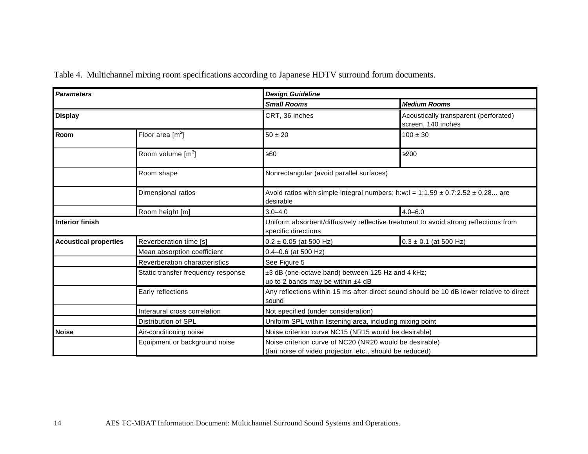| <b>Parameters</b>               |                                    | <b>Design Guideline</b>                                                                                            |                                                                                       |  |
|---------------------------------|------------------------------------|--------------------------------------------------------------------------------------------------------------------|---------------------------------------------------------------------------------------|--|
|                                 |                                    | <b>Small Rooms</b>                                                                                                 | <b>Medium Rooms</b>                                                                   |  |
| <b>Display</b>                  |                                    | CRT, 36 inches                                                                                                     | Acoustically transparent (perforated)<br>screen, 140 inches                           |  |
| Room                            | Floor area $[m^2]$                 | $50 \pm 20$                                                                                                        | $100 \pm 30$                                                                          |  |
|                                 | Room volume [m <sup>3</sup> ]      | ≥80                                                                                                                | >200                                                                                  |  |
|                                 | Room shape                         | Nonrectangular (avoid parallel surfaces)                                                                           |                                                                                       |  |
| Dimensional ratios<br>desirable |                                    |                                                                                                                    | Avoid ratios with simple integral numbers; h:w:l = $1:1.59 \pm 0.7:2.52 \pm 0.28$ are |  |
|                                 | Room height [m]                    | $3.0 - 4.0$                                                                                                        | $4.0 - 6.0$                                                                           |  |
| <b>Interior finish</b>          |                                    | Uniform absorbent/diffusively reflective treatment to avoid strong reflections from<br>specific directions         |                                                                                       |  |
| <b>Acoustical properties</b>    | Reverberation time [s]             | $0.2 \pm 0.05$ (at 500 Hz)                                                                                         | $0.3 \pm 0.1$ (at 500 Hz)                                                             |  |
|                                 | Mean absorption coefficient        | $0.4 - 0.6$ (at 500 Hz)                                                                                            |                                                                                       |  |
|                                 | Reverberation characteristics      | See Figure 5                                                                                                       |                                                                                       |  |
|                                 | Static transfer frequency response | ±3 dB (one-octave band) between 125 Hz and 4 kHz;<br>up to 2 bands may be within ±4 dB                             |                                                                                       |  |
|                                 | Early reflections                  | Any reflections within 15 ms after direct sound should be 10 dB lower relative to direct<br>sound                  |                                                                                       |  |
|                                 | Interaural cross correlation       | Not specified (under consideration)                                                                                |                                                                                       |  |
|                                 | Distribution of SPL                | Uniform SPL within listening area, including mixing point                                                          |                                                                                       |  |
| <b>Noise</b>                    | Air-conditioning noise             | Noise criterion curve NC15 (NR15 would be desirable)                                                               |                                                                                       |  |
|                                 | Equipment or background noise      | Noise criterion curve of NC20 (NR20 would be desirable)<br>(fan noise of video projector, etc., should be reduced) |                                                                                       |  |

Table 4. Multichannel mixing room specifications according to Japanese HDTV surround forum documents.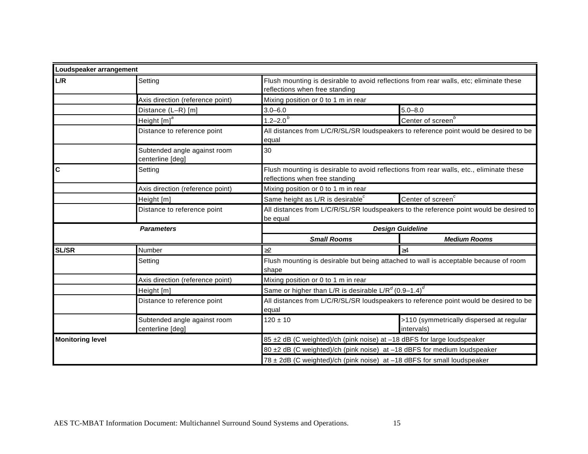| Loudspeaker arrangement |                                                  |                                                                                                                           |                                                        |  |
|-------------------------|--------------------------------------------------|---------------------------------------------------------------------------------------------------------------------------|--------------------------------------------------------|--|
| L/R                     | Setting                                          | Flush mounting is desirable to avoid reflections from rear walls, etc; eliminate these<br>reflections when free standing  |                                                        |  |
|                         | Axis direction (reference point)                 | Mixing position or 0 to 1 m in rear                                                                                       |                                                        |  |
|                         | Distance (L-R) [m]                               | $3.0 - 6.0$                                                                                                               | $5.0 - 8.0$                                            |  |
|                         | Height [m] <sup>a</sup>                          | $1.2 - 2.0$ <sup>b</sup>                                                                                                  | Center of screen <sup>b</sup>                          |  |
|                         | Distance to reference point                      | All distances from L/C/R/SL/SR loudspeakers to reference point would be desired to be<br>equal                            |                                                        |  |
|                         | Subtended angle against room<br>centerline [deg] | 30                                                                                                                        |                                                        |  |
| C                       | Setting                                          | Flush mounting is desirable to avoid reflections from rear walls, etc., eliminate these<br>reflections when free standing |                                                        |  |
|                         | Axis direction (reference point)                 | Mixing position or 0 to 1 m in rear                                                                                       |                                                        |  |
|                         | Height [m]                                       | Same height as L/R is desirable $^c$                                                                                      | Center of screen <sup>c</sup>                          |  |
|                         | Distance to reference point                      | All distances from L/C/R/SL/SR loudspeakers to the reference point would be desired to<br>be equal                        |                                                        |  |
|                         | <b>Parameters</b>                                | <b>Design Guideline</b>                                                                                                   |                                                        |  |
|                         |                                                  | <b>Small Rooms</b>                                                                                                        | <b>Medium Rooms</b>                                    |  |
| <b>SL/SR</b>            | Number                                           | $\geq$ 2                                                                                                                  | $\geq 4$                                               |  |
|                         | Setting                                          | Flush mounting is desirable but being attached to wall is acceptable because of room<br>shape                             |                                                        |  |
|                         | Axis direction (reference point)                 | Mixing position or 0 to 1 m in rear                                                                                       |                                                        |  |
|                         | Height [m]                                       | Same or higher than L/R is desirable L/R <sup>d</sup> (0.9-1.4) <sup>d</sup>                                              |                                                        |  |
|                         | Distance to reference point                      | All distances from L/C/R/SL/SR loudspeakers to reference point would be desired to be<br>equal                            |                                                        |  |
|                         | Subtended angle against room<br>centerline [deg] | $120 \pm 10$                                                                                                              | >110 (symmetrically dispersed at regular<br>intervals) |  |
| <b>Monitoring level</b> |                                                  | 85 ±2 dB (C weighted)/ch (pink noise) at -18 dBFS for large loudspeaker                                                   |                                                        |  |
|                         |                                                  | 80 ±2 dB (C weighted)/ch (pink noise) at -18 dBFS for medium loudspeaker                                                  |                                                        |  |
|                         |                                                  | 78 ± 2dB (C weighted)/ch (pink noise) at -18 dBFS for small loudspeaker                                                   |                                                        |  |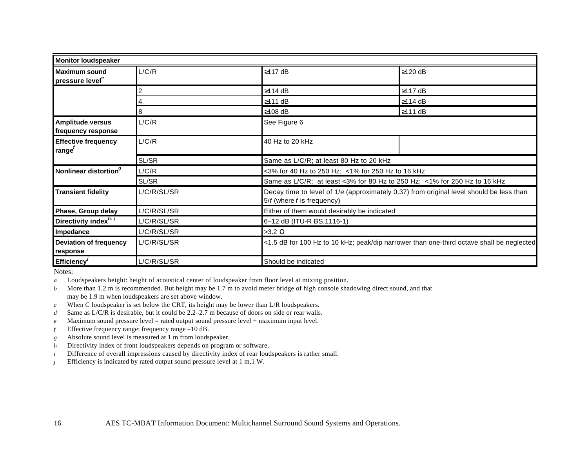| <b>Monitor loudspeaker</b>                       |             |                                                                           |                                                                                          |  |
|--------------------------------------------------|-------------|---------------------------------------------------------------------------|------------------------------------------------------------------------------------------|--|
| Maximum sound<br>pressure level <sup>e</sup>     | L/C/R       | $\geq$ 117 dB                                                             | $\geq$ 120 dB                                                                            |  |
|                                                  |             | $≥114$ dB                                                                 | ≥117 dB                                                                                  |  |
|                                                  |             | ≥111 dB                                                                   | $\geq$ 114 dB                                                                            |  |
|                                                  | 8           | $≥108$ dB                                                                 | ≥111 dB                                                                                  |  |
| <b>Amplitude versus</b><br>frequency response    | L/C/R       | See Figure 6                                                              |                                                                                          |  |
| <b>Effective frequency</b><br>range <sup>r</sup> | L/C/R       | 40 Hz to 20 kHz                                                           |                                                                                          |  |
|                                                  | SL/SR       | Same as L/C/R; at least 80 Hz to 20 kHz                                   |                                                                                          |  |
| Nonlinear distortion <sup>9</sup>                | L/C/R       |                                                                           | <3% for 40 Hz to 250 Hz; <1% for 250 Hz to 16 kHz                                        |  |
|                                                  | SL/SR       | Same as L/C/R; at least <3% for 80 Hz to 250 Hz; <1% for 250 Hz to 16 kHz |                                                                                          |  |
| <b>Transient fidelity</b>                        | L/C/R/SL/SR | $5/f$ (where $f$ is frequency)                                            | Decay time to level of 1/e (approximately 0.37) from original level should be less than  |  |
| Phase, Group delay                               | L/C/R/SL/SR |                                                                           | Either of them would desirably be indicated                                              |  |
| Directivity index <sup>h. i</sup>                | L/C/R/SL/SR | 6-12 dB (ITU-R BS.1116-1)                                                 |                                                                                          |  |
| Impedance                                        | L/C/R/SL/SR | $>3.2 \Omega$                                                             |                                                                                          |  |
| <b>Deviation of frequency</b><br>response        | L/C/R/SL/SR |                                                                           | <1.5 dB for 100 Hz to 10 kHz; peak/dip narrower than one-third octave shall be neglected |  |
| Efficiency <sup><math>\prime</math></sup>        | L/C/R/SL/SR | Should be indicated                                                       |                                                                                          |  |

Notes:

*a* Loudspeakers height: height of acoustical center of loudspeaker from floor level at mixing position.

*b* More than 1.2 m is recommended. But height may be 1.7 m to avoid meter bridge of high console shadowing direct sound, and that may be 1.9 m when loudspeakers are set above window.

*c* When C loudspeaker is set below the CRT, its height may be lower than L/R loudspeakers.

*d* Same as L/C/R is desirable, but it could be 2.2–2.7 m because of doors on side or rear walls.

*e* Maximum sound pressure level = rated output sound pressure level + maximum input level.

*f* Effective frequency range: frequency range –10 dB.

*g* Absolute sound level is measured at 1 m from loudspeaker.

*h* Directivity index of front loudspeakers depends on program or software.

*i* Difference of overall impressions caused by directivity index of rear loudspeakers is rather small.

*j* Efficiency is indicated by rated output sound pressure level at 1 m,1 W.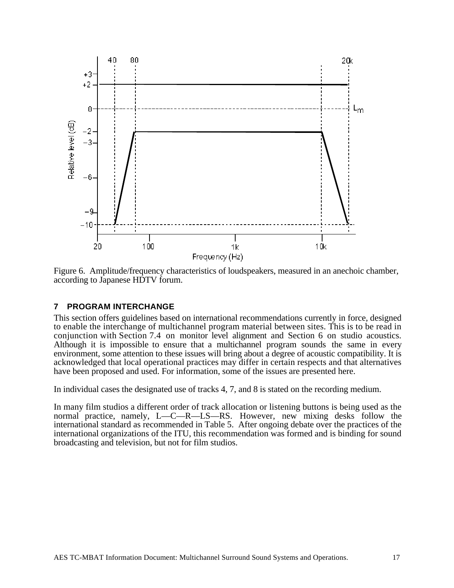

Figure 6. Amplitude/frequency characteristics of loudspeakers, measured in an anechoic chamber, according to Japanese HDTV forum.

#### **7 PROGRAM INTERCHANGE**

This section offers guidelines based on international recommendations currently in force, designed to enable the interchange of multichannel program material between sites. This is to be read in conjunction with Section 7.4 on monitor level alignment and Section 6 on studio acoustics. Although it is impossible to ensure that a multichannel program sounds the same in every environment, some attention to these issues will bring about a degree of acoustic compatibility. It is acknowledged that local operational practices may differ in certain respects and that alternatives have been proposed and used. For information, some of the issues are presented here.

In individual cases the designated use of tracks 4, 7, and 8 is stated on the recording medium.

In many film studios a different order of track allocation or listening buttons is being used as the normal practice, namely, L—C—R—LS—RS. However, new mixing desks follow the international standard as recommended in Table 5. After ongoing debate over the practices of the international organizations of the ITU, this recommendation was formed and is binding for sound broadcasting and television, but not for film studios.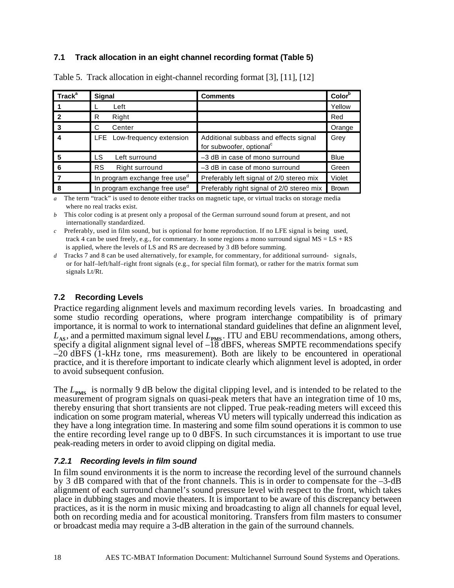#### **7.1 Track allocation in an eight channel recording format (Table 5)**

| <b>Track</b> <sup>a</sup> | Signal                                    | <b>Comments</b>                                                               | Color <sup>o</sup> |
|---------------------------|-------------------------------------------|-------------------------------------------------------------------------------|--------------------|
|                           | Left                                      |                                                                               | Yellow             |
|                           | Right<br>R                                |                                                                               | Red                |
| -3                        | C<br>Center                               |                                                                               | Orange             |
|                           | LFE Low-frequency extension               | Additional subbass and effects signal<br>for subwoofer, optional <sup>c</sup> | Grey               |
|                           | <b>LS</b><br>Left surround                | -3 dB in case of mono surround                                                | <b>Blue</b>        |
|                           | <b>RS</b><br>Right surround               | -3 dB in case of mono surround                                                | Green              |
|                           | In program exchange free use <sup>d</sup> | Preferably left signal of 2/0 stereo mix                                      | Violet             |
| 8                         | In program exchange free use <sup>d</sup> | Preferably right signal of 2/0 stereo mix                                     | <b>Brown</b>       |

Table 5. Track allocation in eight-channel recording format [3], [11], [12]

*a* The term "track" is used to denote either tracks on magnetic tape, or virtual tracks on storage media where no real tracks exist.

*b* This color coding is at present only a proposal of the German surround sound forum at present, and not internationally standardized.

*c* Preferably, used in film sound, but is optional for home reproduction. If no LFE signal is being used, track 4 can be used freely, e.g., for commentary. In some regions a mono surround signal  $MS = LS + RS$ is applied, where the levels of LS and RS are decreased by 3 dB before summing.

*d* Tracks 7 and 8 can be used alternatively, for example, for commentary, for additional surround- signals, or for half–left/half–right front signals (e.g., for special film format), or rather for the matrix format sum signals Lt/Rt.

#### **7.2 Recording Levels**

Practice regarding alignment levels and maximum recording levels varies. In broadcasting and some studio recording operations, where program interchange compatibility is of primary importance, it is normal to work to international standard guidelines that define an alignment level,  $L_{AS}$ , and a permitted maximum signal level  $L_{PMS}$ . ITU and EBU recommendations, among others, specify a digital alignment signal level of –18 dBFS, whereas SMPTE recommendations specify –20 dBFS (1-kHz tone, rms measurement). Both are likely to be encountered in operational practice, and it is therefore important to indicate clearly which alignment level is adopted, in order to avoid subsequent confusion.

The  $L_{PMS}$  is normally 9 dB below the digital clipping level, and is intended to be related to the measurement of program signals on quasi-peak meters that have an integration time of 10 ms, thereby ensuring that short transients are not clipped. True peak-reading meters will exceed this indication on some program material, whereas VU meters will typically underread this indication as they have a long integration time. In mastering and some film sound operations it is common to use the entire recording level range up to 0 dBFS. In such circumstances it is important to use true peak-reading meters in order to avoid clipping on digital media.

#### **7.2.1 Recording levels in film sound**

In film sound environments it is the norm to increase the recording level of the surround channels by 3 dB compared with that of the front channels. This is in order to compensate for the –3-dB alignment of each surround channel's sound pressure level with respect to the front, which takes place in dubbing stages and movie theaters. It is important to be aware of this discrepancy between practices, as it is the norm in music mixing and broadcasting to align all channels for equal level, both on recording media and for acoustical monitoring. Transfers from film masters to consumer or broadcast media may require a 3-dB alteration in the gain of the surround channels.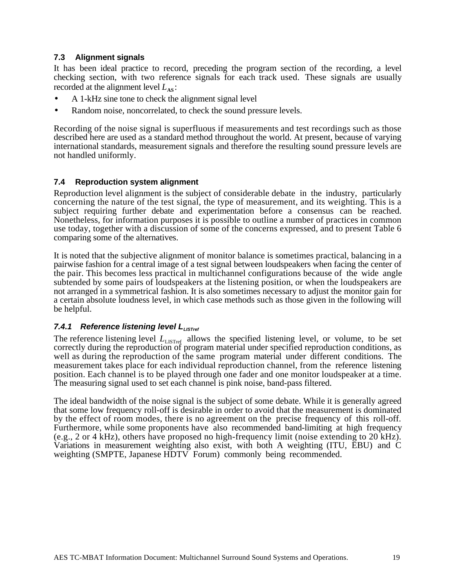#### **7.3 Alignment signals**

It has been ideal practice to record, preceding the program section of the recording, a level checking section, with two reference signals for each track used. These signals are usually recorded at the alignment level  $L_{\text{AS}}$ :

- A 1-kHz sine tone to check the alignment signal level
- Random noise, noncorrelated, to check the sound pressure levels.

Recording of the noise signal is superfluous if measurements and test recordings such as those described here are used as a standard method throughout the world. At present, because of varying international standards, measurement signals and therefore the resulting sound pressure levels are not handled uniformly.

#### **7.4 Reproduction system alignment**

Reproduction level alignment is the subject of considerable debate in the industry, particularly concerning the nature of the test signal, the type of measurement, and its weighting. This is a subject requiring further debate and experimentation before a consensus can be reached. Nonetheless, for information purposes it is possible to outline a number of practices in common use today, together with a discussion of some of the concerns expressed, and to present Table 6 comparing some of the alternatives.

It is noted that the subjective alignment of monitor balance is sometimes practical, balancing in a pairwise fashion for a central image of a test signal between loudspeakers when facing the center of the pair. This becomes less practical in multichannel configurations because of the wide angle subtended by some pairs of loudspeakers at the listening position, or when the loudspeakers are not arranged in a symmetrical fashion. It is also sometimes necessary to adjust the monitor gain for a certain absolute loudness level, in which case methods such as those given in the following will be helpful.

#### **7.4.1 Reference listening level L**USTref

The reference listening level  $L_{\text{LISTref}}$  allows the specified listening level, or volume, to be set correctly during the reproduction of program material under specified reproduction conditions, as well as during the reproduction of the same program material under different conditions. The measurement takes place for each individual reproduction channel, from the reference listening position. Each channel is to be played through one fader and one monitor loudspeaker at a time. The measuring signal used to set each channel is pink noise, band-pass filtered.

The ideal bandwidth of the noise signal is the subject of some debate. While it is generally agreed that some low frequency roll-off is desirable in order to avoid that the measurement is dominated by the effect of room modes, there is no agreement on the precise frequency of this roll-off. Furthermore, while some proponents have also recommended band-limiting at high frequency (e.g., 2 or 4 kHz), others have proposed no high-frequency limit (noise extending to  $20$  kHz). Variations in measurement weighting also exist, with both A weighting (ITU, EBU) and C weighting (SMPTE, Japanese HDTV Forum) commonly being recommended.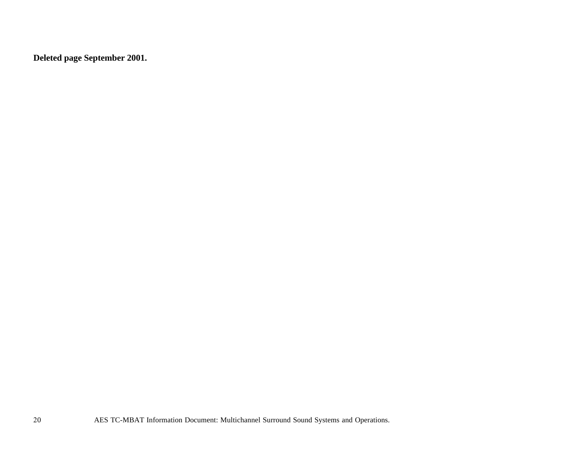**Deleted page September 2001.**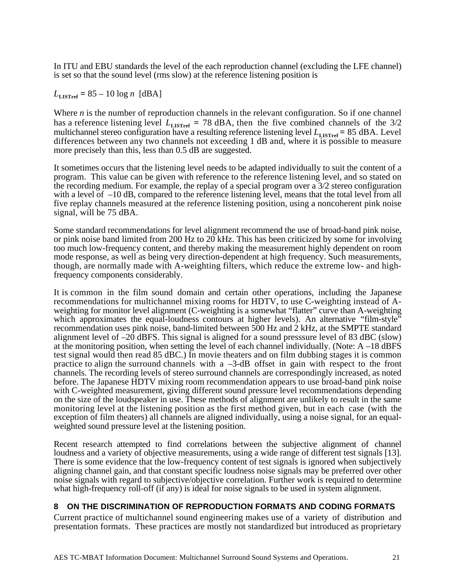In ITU and EBU standards the level of the each reproduction channel (excluding the LFE channel) is set so that the sound level (rms slow) at the reference listening position is

 $L_{\text{LISTref}} = 85 - 10 \log n \text{ [dBA]}$ 

Where *n* is the number of reproduction channels in the relevant configuration. So if one channel has a reference listening level  $L_{\text{LISTref}} = 78 \text{ dBA}$ , then the five combined channels of the 3/2 multichannel stereo configuration have a resulting reference listening level  $L_{\text{LISTref}} = 85 \text{ dBA}$ . Level differences between any two channels not exceeding 1 dB and, where it is possible to measure more precisely than this, less than  $0.5$  dB are suggested.

It sometimes occurs that the listening level needs to be adapted individually to suit the content of a program. This value can be given with reference to the reference listening level, and so stated on the recording medium. For example, the replay of a special program over a 3/2 stereo configuration with a level of –10 dB, compared to the reference listening level, means that the total level from all five replay channels measured at the reference listening position, using a noncoherent pink noise signal, will be 75 dBA.

Some standard recommendations for level alignment recommend the use of broad-band pink noise, or pink noise band limited from 200 Hz to 20 kHz. This has been criticized by some for involving too much low-frequency content, and thereby making the measurement highly dependent on room mode response, as well as being very direction-dependent at high frequency. Such measurements, though, are normally made with A-weighting filters, which reduce the extreme low- and highfrequency components considerably.

It is common in the film sound domain and certain other operations, including the Japanese recommendations for multichannel mixing rooms for HDTV, to use C-weighting instead of Aweighting for monitor level alignment (C-weighting is a somewhat "flatter" curve than A-weighting which approximates the equal-loudness contours at higher levels). An alternative "film-style" recommendation uses pink noise, band-limited between 500 Hz and 2 kHz, at the SMPTE standard alignment level of –20 dBFS. This signal is aligned for a sound presssure level of 83 dBC (slow) at the monitoring position, when setting the level of each channel individually. (Note:  $A - 18$  dBFS test signal would then read 85 dBC.) In movie theaters and on film dubbing stages it is common practice to align the surround channels with  $a -3-dB$  offset in gain with respect to the front channels. The recording levels of stereo surround channels are correspondingly increased, as noted before. The Japanese HDTV mixing room recommendation appears to use broad-band pink noise with C-weighted measurement, giving different sound pressure level recommendations depending on the size of the loudspeaker in use. These methods of alignment are unlikely to result in the same monitoring level at the listening position as the first method given, but in each case (with the exception of film theaters) all channels are aligned individually, using a noise signal, for an equalweighted sound pressure level at the listening position.

Recent research attempted to find correlations between the subjective alignment of channel loudness and a variety of objective measurements, using a wide range of different test signals [13]. There is some evidence that the low-frequency content of test signals is ignored when subjectively aligning channel gain, and that constant specific loudness noise signals may be preferred over other noise signals with regard to subjective/objective correlation. Further work is required to determine what high-frequency roll-off (if any) is ideal for noise signals to be used in system alignment.

#### **8 ON THE DISCRIMINATION OF REPRODUCTION FORMATS AND CODING FORMATS**

Current practice of multichannel sound engineering makes use of a variety of distribution and presentation formats. These practices are mostly not standardized but introduced as proprietary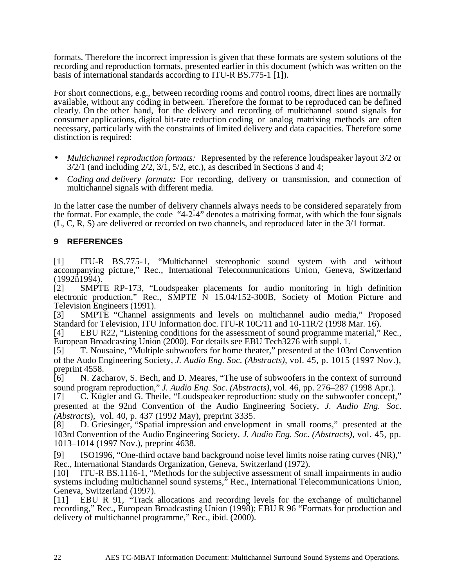formats. Therefore the incorrect impression is given that these formats are system solutions of the recording and reproduction formats, presented earlier in this document (which was written on the basis of international standards according to ITU-R BS.775-1 [1]).

For short connections, e.g., between recording rooms and control rooms, direct lines are normally available, without any coding in between. Therefore the format to be reproduced can be defined clearly. On the other hand, for the delivery and recording of multichannel sound signals for consumer applications, digital bit-rate reduction coding or analog matrixing methods are often necessary, particularly with the constraints of limited delivery and data capacities. Therefore some distinction is required:

- *Multichannel reproduction formats:*Represented by the reference loudspeaker layout 3/2 or  $3/2/1$  (and including  $2/2$ ,  $3/1$ ,  $5/2$ , etc.), as described in Sections 3 and 4;
- *Coding and delivery formats:* For recording, delivery or transmission, and connection of multichannel signals with different media.

In the latter case the number of delivery channels always needs to be considered separately from the format. For example, the code "4-2-4" denotes a matrixing format, with which the four signals (L, C, R, S) are delivered or recorded on two channels, and reproduced later in the 3/1 format.

#### **9 REFERENCES**

[1] ITU-R BS.775-1, "Multichannel stereophonic sound system with and without accompanying picture," Rec., International Telecommunications Union, Geneva, Switzerland (1992ñ1994).

[2] SMPTE RP-173, "Loudspeaker placements for audio monitoring in high definition electronic production," Rec., SMPTE  $\dot{N}$  15.04/152-300B, Society of Motion Picture and Television Engineers (1991).

[3] SMPTE "Channel assignments and levels on multichannel audio media," Proposed Standard for Television, ITU Information doc. ITU-R 10C/11 and 10-11R/2 (1998 Mar. 16).

[4] EBU R22, "Listening conditions for the assessment of sound programme material," Rec., European Broadcasting Union (2000). For details see EBU Tech3276 with suppl. 1.

[5] T. Nousaine, "Multiple subwoofers for home theater," presented at the 103rd Convention of the Audo Engineering Society, *J. Audio Eng. Soc. (Abstracts),* vol. 45, p. 1015 (1997 Nov.), preprint 4558.

[6] N. Zacharov, S. Bech, and D. Meares, "The use of subwoofers in the context of surround sound program reproduction," *J. Audio Eng. Soc. (Abstracts)*, vol. 46, pp. 276–287 (1998 Apr.).<br>[7] C. Kügler and G. Theile, "Loudspeaker reproduction: study on the subwoofer concept."

C. Kügler and G. Theile, "Loudspeaker reproduction: study on the subwoofer concept," presented at the 92nd Convention of the Audio Engineering Society, *J. Audio Eng. Soc. (Abstracts*), vol. 40, p. 437 (1992 May), preprint 3335.

D. Griesinger, "Spatial impression and envelopment in small rooms," presented at the 103rd Convention of the Audio Engineering Society, *J. Audio Eng. Soc. (Abstracts),* vol. 45, pp. 1013–1014 (1997 Nov.), preprint 4638.

[9] ISO1996, "One-third octave band background noise level limits noise rating curves (NR)," Rec., International Standards Organization, Geneva, Switzerland (1972).

[10] ITU-R BS.1116-1, "Methods for the subjective assessment of small impairments in audio systems including multichannel sound systems," Rec., International Telecommunications Union, Geneva, Switzerland (1997).

[11] EBU R 91, "Track allocations and recording levels for the exchange of multichannel recording," Rec., European Broadcasting Union (1998); EBU R 96 "Formats for production and delivery of multichannel programme," Rec., ibid. (2000).